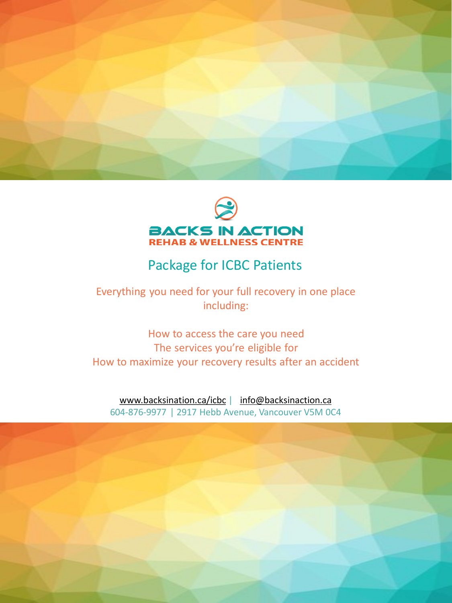



# Package for ICBC Patients

Everything you need for your full recovery in one place including:

How to access the care you need The services you're eligible for How to maximize your recovery results after an accident

[www.backsination.ca/icbc](http://www.backsination.ca/icbc) | [info@backsinaction.ca](mailto:info@backsinaction.ca) 604-876-9977 | 2917 Hebb Avenue, Vancouver V5M 0C4

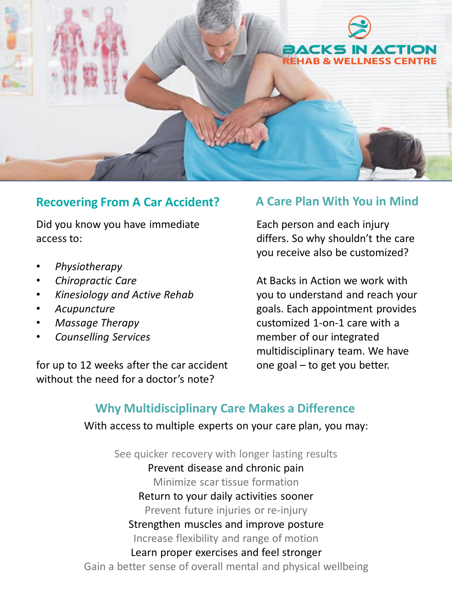

## **Recovering From A Car Accident? A Care Plan With You in Mind**

Did you know you have immediate access to:

- *Physiotherapy*
- *Chiropractic Care*
- *Kinesiology and Active Rehab*
- *Acupuncture*
- *Massage Therapy*
- *Counselling Services*

for up to 12 weeks after the car accident without the need for a doctor's note?

Each person and each injury differs. So why shouldn't the care you receive also be customized?

At Backs in Action we work with you to understand and reach your goals. Each appointment provides customized 1-on-1 care with a member of our integrated multidisciplinary team. We have one goal – to get you better.

## **Why Multidisciplinary Care Makes a Difference**

With access to multiple experts on your care plan, you may:

See quicker recovery with longer lasting results Prevent disease and chronic pain Minimize scar tissue formation Return to your daily activities sooner Prevent future injuries or re-injury Strengthen muscles and improve posture Increase flexibility and range of motion Learn proper exercises and feel stronger Gain a better sense of overall mental and physical wellbeing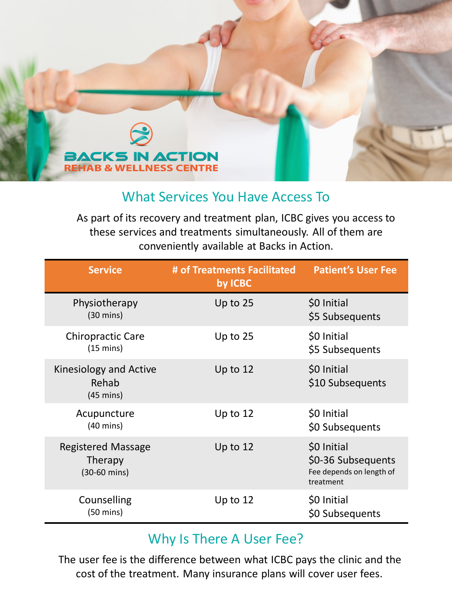

## What Services You Have Access To

As part of its recovery and treatment plan, ICBC gives you access to these services and treatments simultaneously. All of them are conveniently available at Backs in Action.

| <b>Service</b>                                              | # of Treatments Facilitated<br>by ICBC | <b>Patient's User Fee</b>                                                  |
|-------------------------------------------------------------|----------------------------------------|----------------------------------------------------------------------------|
| Physiotherapy<br>$(30 \text{ mins})$                        | Up to $25$                             | \$0 Initial<br>\$5 Subsequents                                             |
| <b>Chiropractic Care</b><br>$(15 \text{ mins})$             | Up to $25$                             | \$0 Initial<br>\$5 Subsequents                                             |
| Kinesiology and Active<br>Rehab<br>$(45 \text{ mins})$      | Up to $12$                             | \$0 Initial<br>\$10 Subsequents                                            |
| Acupuncture<br>$(40 \text{ mins})$                          | Up to $12$                             | \$0 Initial<br>\$0 Subsequents                                             |
| <b>Registered Massage</b><br><b>Therapy</b><br>(30-60 mins) | Up to $12$                             | \$0 Initial<br>\$0-36 Subsequents<br>Fee depends on length of<br>treatment |
| Counselling<br>$(50 \text{ mins})$                          | Up to $12$                             | \$0 Initial<br>\$0 Subsequents                                             |

## Why Is There A User Fee?

The user fee is the difference between what ICBC pays the clinic and the cost of the treatment. Many insurance plans will cover user fees.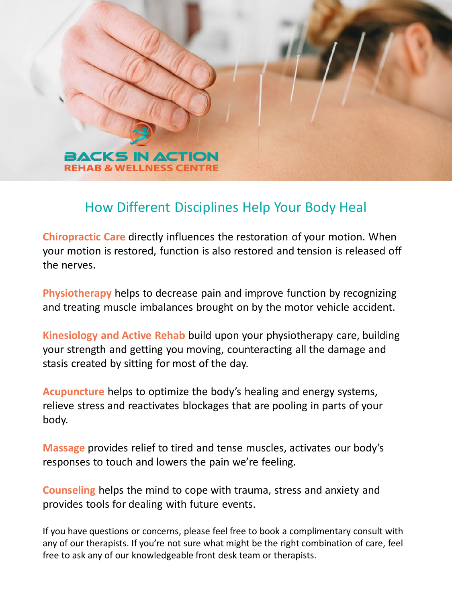

# How Different Disciplines Help Your Body Heal

**Chiropractic Care** directly influences the restoration of your motion. When your motion is restored, function is also restored and tension is released off the nerves.

**Physiotherapy** helps to decrease pain and improve function by recognizing and treating muscle imbalances brought on by the motor vehicle accident.

**Kinesiology and Active Rehab** build upon your physiotherapy care, building your strength and getting you moving, counteracting all the damage and stasis created by sitting for most of the day.

**Acupuncture** helps to optimize the body's healing and energy systems, relieve stress and reactivates blockages that are pooling in parts of your body.

**Massage** provides relief to tired and tense muscles, activates our body's responses to touch and lowers the pain we're feeling.

**Counseling** helps the mind to cope with trauma, stress and anxiety and provides tools for dealing with future events.

If you have questions or concerns, please feel free to book a complimentary consult with any of our therapists. If you're not sure what might be the right combination of care, feel free to ask any of our knowledgeable front desk team or therapists.